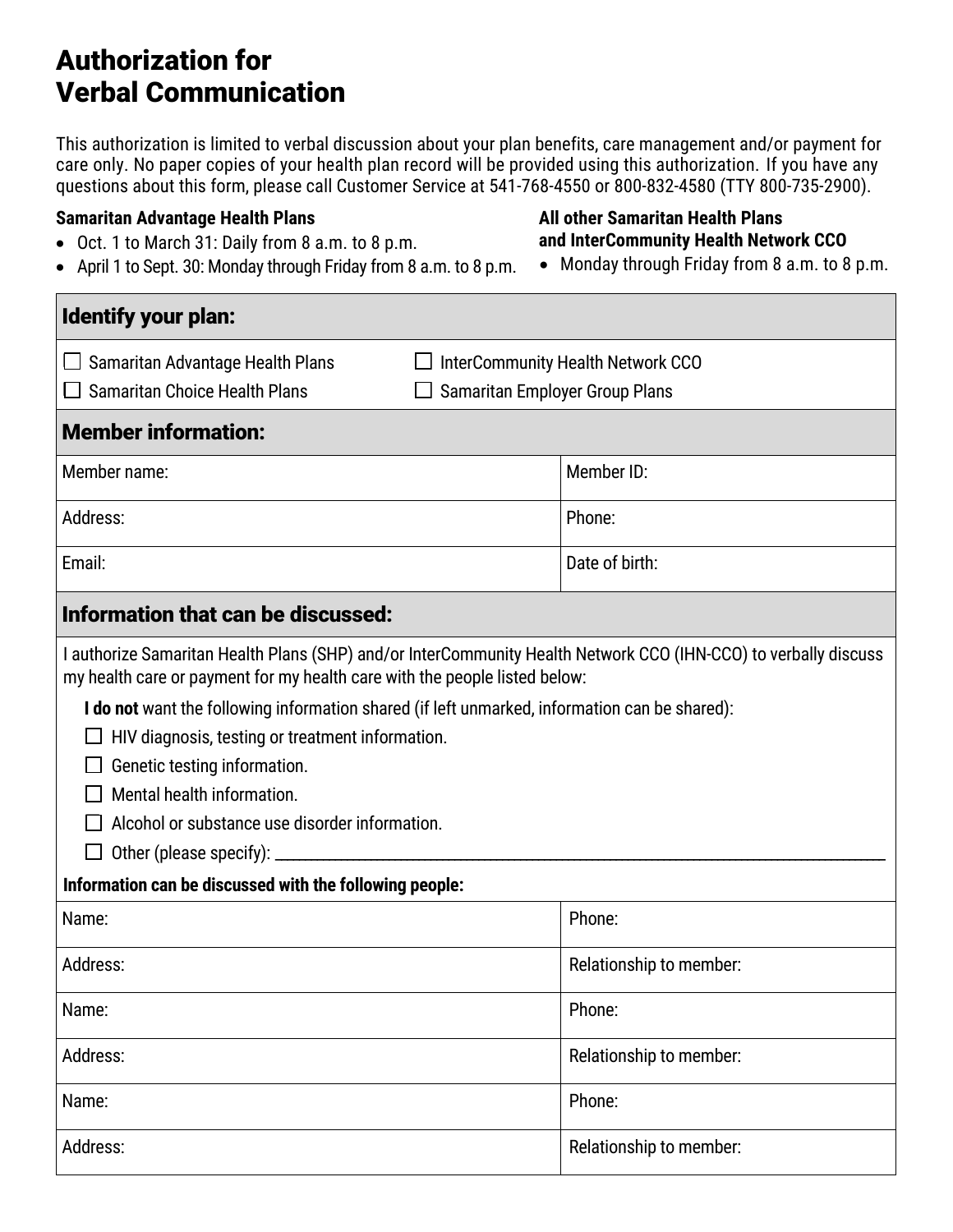# Authorization for Verbal Communication

This authorization is limited to verbal discussion about your plan benefits, care management and/or payment for care only. No paper copies of your health plan record will be provided using this authorization. If you have any questions about this form, please call Customer Service at 541-768-4550 or 800-832-4580 (TTY 800-735-2900).

#### **Samaritan Advantage Health Plans**

- Oct. 1 to March 31: Daily from 8 a.m. to 8 p.m.
- April 1 to Sept. 30: Monday through Friday from 8 a.m. to 8 p.m.

## **All other Samaritan Health Plans and InterCommunity Health Network CCO**

• Monday through Friday from 8 a.m. to 8 p.m.

| Identify your plan:                                                                                                                                                                           |                                   |  |  |  |  |  |  |  |
|-----------------------------------------------------------------------------------------------------------------------------------------------------------------------------------------------|-----------------------------------|--|--|--|--|--|--|--|
| Samaritan Advantage Health Plans                                                                                                                                                              | InterCommunity Health Network CCO |  |  |  |  |  |  |  |
| <b>Samaritan Choice Health Plans</b>                                                                                                                                                          | Samaritan Employer Group Plans    |  |  |  |  |  |  |  |
| <b>Member information:</b>                                                                                                                                                                    |                                   |  |  |  |  |  |  |  |
| Member name:                                                                                                                                                                                  | Member ID:                        |  |  |  |  |  |  |  |
| Address:                                                                                                                                                                                      | Phone:                            |  |  |  |  |  |  |  |
| Email:                                                                                                                                                                                        | Date of birth:                    |  |  |  |  |  |  |  |
| Information that can be discussed:                                                                                                                                                            |                                   |  |  |  |  |  |  |  |
| I authorize Samaritan Health Plans (SHP) and/or InterCommunity Health Network CCO (IHN-CCO) to verbally discuss<br>my health care or payment for my health care with the people listed below: |                                   |  |  |  |  |  |  |  |
| I do not want the following information shared (if left unmarked, information can be shared):                                                                                                 |                                   |  |  |  |  |  |  |  |
| HIV diagnosis, testing or treatment information.                                                                                                                                              |                                   |  |  |  |  |  |  |  |
| Genetic testing information.                                                                                                                                                                  |                                   |  |  |  |  |  |  |  |
| Mental health information.                                                                                                                                                                    |                                   |  |  |  |  |  |  |  |
| Alcohol or substance use disorder information.                                                                                                                                                |                                   |  |  |  |  |  |  |  |
|                                                                                                                                                                                               |                                   |  |  |  |  |  |  |  |
| Information can be discussed with the following people:                                                                                                                                       |                                   |  |  |  |  |  |  |  |
| Name:                                                                                                                                                                                         | Phone:                            |  |  |  |  |  |  |  |
| Address:                                                                                                                                                                                      | Relationship to member:           |  |  |  |  |  |  |  |
| Name:                                                                                                                                                                                         | Phone:                            |  |  |  |  |  |  |  |
| Address:                                                                                                                                                                                      | Relationship to member:           |  |  |  |  |  |  |  |
| Name:                                                                                                                                                                                         | Phone:                            |  |  |  |  |  |  |  |
| Address:                                                                                                                                                                                      | Relationship to member:           |  |  |  |  |  |  |  |
|                                                                                                                                                                                               |                                   |  |  |  |  |  |  |  |